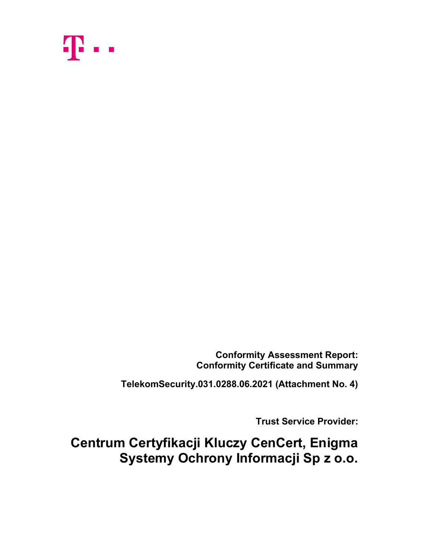

Conformity Assessment Report: Conformity Certificate and Summary

TelekomSecurity.031.0288.06.2021 (Attachment No. 4)

Trust Service Provider:

Centrum Certyfikacji Kluczy CenCert, Enigma Systemy Ochrony Informacji Sp z o.o.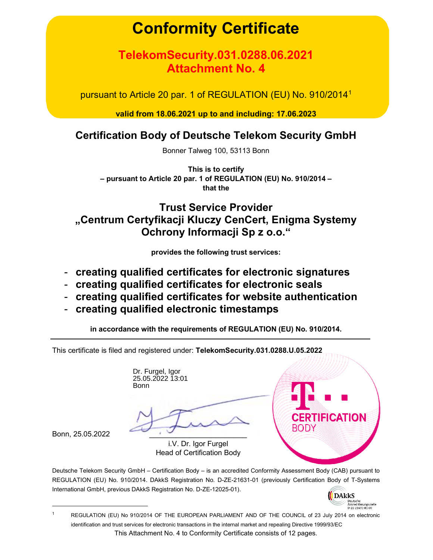# Conformity Certificate

# TelekomSecurity.031.0288.06.2021 Attachment No. 4

pursuant to Article 20 par. 1 of REGULATION (EU) No. 910/2014<sup>1</sup>

valid from 18.06.2021 up to and including: 17.06.2023

# Certification Body of Deutsche Telekom Security GmbH

Bonner Talweg 100, 53113 Bonn

This is to certify – pursuant to Article 20 par. 1 of REGULATION (EU) No. 910/2014 – that the

# Trust Service Provider "Centrum Certyfikacji Kluczy CenCert, Enigma Systemy Ochrony Informacji Sp z o.o."

provides the following trust services:

- creating qualified certificates for electronic signatures
- creating qualified certificates for electronic seals
- creating qualified certificates for website authentication
- creating qualified electronic timestamps

in accordance with the requirements of REGULATION (EU) No. 910/2014.

This certificate is filed and registered under: TelekomSecurity.031.0288.U.05.2022

Dr. Furgel, Igor 25.05.2022 13:01 Bonn

i.V. Dr. Igor Furgel

Bonn, 25.05.2022 \_\_\_\_\_\_\_\_\_\_\_\_\_\_\_\_\_\_\_\_\_\_

Head of Certification Body

Deutsche Telekom Security GmbH – Certification Body – is an accredited Conformity Assessment Body (CAB) pursuant to REGULATION (EU) No. 910/2014. DAkkS Registration No. D-ZE-21631-01 (previously Certification Body of T-Systems International GmbH, previous DAkkS Registration No. D-ZE-12025-01).



RTIFICATION

This Attachment No. 4 to Conformity Certificate consists of 12 pages. <sup>1</sup> REGULATION (EU) No 910/2014 OF THE EUROPEAN PARLIAMENT AND OF THE COUNCIL of 23 July 2014 on electronic identification and trust services for electronic transactions in the internal market and repealing Directive 1999/93/EC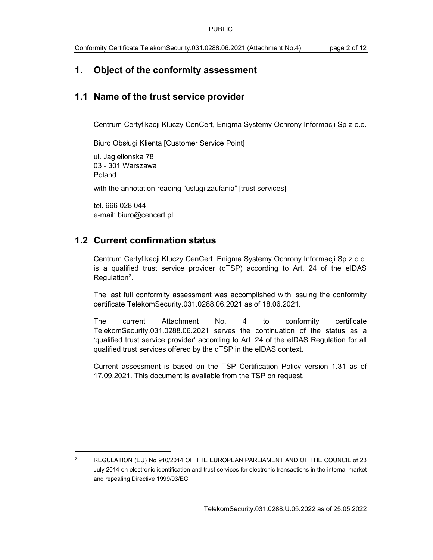# 1. Object of the conformity assessment

# 1.1 Name of the trust service provider

Centrum Certyfikacji Kluczy CenCert, Enigma Systemy Ochrony Informacji Sp z o.o.

Biuro Obsługi Klienta [Customer Service Point]

ul. Jagiellonska 78 03 - 301 Warszawa Poland with the annotation reading "usługi zaufania" [trust services]

tel. 666 028 044 e-mail: biuro@cencert.pl

# 1.2 Current confirmation status

Centrum Certyfikacji Kluczy CenCert, Enigma Systemy Ochrony Informacji Sp z o.o. is a qualified trust service provider (qTSP) according to Art. 24 of the eIDAS  $Regulation<sup>2</sup>$ .

The last full conformity assessment was accomplished with issuing the conformity certificate TelekomSecurity.031.0288.06.2021 as of 18.06.2021.

The current Attachment No. 4 to conformity certificate TelekomSecurity.031.0288.06.2021 serves the continuation of the status as a 'qualified trust service provider' according to Art. 24 of the eIDAS Regulation for all qualified trust services offered by the qTSP in the eIDAS context.

Current assessment is based on the TSP Certification Policy version 1.31 as of 17.09.2021. This document is available from the TSP on request.

<sup>2</sup> REGULATION (EU) No 910/2014 OF THE EUROPEAN PARLIAMENT AND OF THE COUNCIL of 23 July 2014 on electronic identification and trust services for electronic transactions in the internal market and repealing Directive 1999/93/EC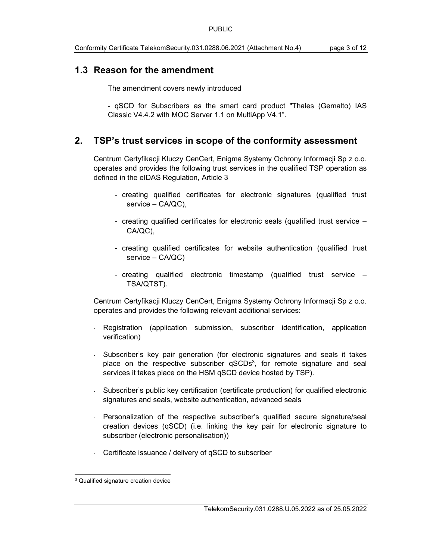# 1.3 Reason for the amendment

The amendment covers newly introduced

- qSCD for Subscribers as the smart card product "Thales (Gemalto) IAS Classic V4.4.2 with MOC Server 1.1 on MultiApp V4.1".

## 2. TSP's trust services in scope of the conformity assessment

Centrum Certyfikacji Kluczy CenCert, Enigma Systemy Ochrony Informacji Sp z o.o. operates and provides the following trust services in the qualified TSP operation as defined in the eIDAS Regulation, Article 3

- creating qualified certificates for electronic signatures (qualified trust service – CA/QC),
- creating qualified certificates for electronic seals (qualified trust service CA/QC),
- creating qualified certificates for website authentication (qualified trust service – CA/QC)
- creating qualified electronic timestamp (qualified trust service TSA/QTST).

Centrum Certyfikacji Kluczy CenCert, Enigma Systemy Ochrony Informacji Sp z o.o. operates and provides the following relevant additional services:

- Registration (application submission, subscriber identification, application verification)
- Subscriber's key pair generation (for electronic signatures and seals it takes place on the respective subscriber  $qSCDs<sup>3</sup>$ , for remote signature and seal services it takes place on the HSM qSCD device hosted by TSP).
- Subscriber's public key certification (certificate production) for qualified electronic signatures and seals, website authentication, advanced seals
- Personalization of the respective subscriber's qualified secure signature/seal creation devices (qSCD) (i.e. linking the key pair for electronic signature to subscriber (electronic personalisation))
- Certificate issuance / delivery of qSCD to subscriber

<sup>3</sup> Qualified signature creation device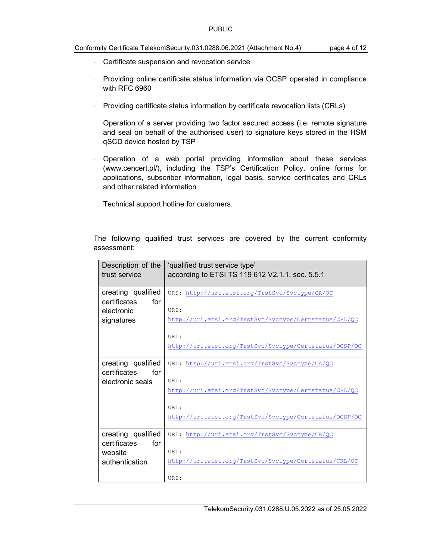#### Conformity Certificate TelekomSecurity.031.0288.06.2021 (Attachment No.4) page 4 of 12

- Certificate suspension and revocation service
- Providing online certificate status information via OCSP operated in compliance with RFC 6960
- Providing certificate status information by certificate revocation lists (CRLs)
- Operation of a server providing two factor secured access (i.e. remote signature and seal on behalf of the authorised user) to signature keys stored in the HSM qSCD device hosted by TSP
- Operation of a web portal providing information about these services (www.cencert.pl/), including the TSP's Certification Policy, online forms for applications, subscriber information, legal basis, service certificates and CRLs and other related information
- Technical support hotline for customers.

| Description of the<br>trust service | 'qualified trust service type'<br>according to ETSI TS 119 612 V2.1.1, sec. 5.5.1 |
|-------------------------------------|-----------------------------------------------------------------------------------|
| creating qualified                  | URI: http://uri.etsi.org/TrstSvc/Svctype/CA/QC                                    |
| certificates<br>for<br>electronic   | URI:                                                                              |
| signatures                          | http://uri.etsi.org/TrstSvc/Svctype/Certstatus/CRL/QC                             |
|                                     |                                                                                   |
|                                     | URI:                                                                              |
|                                     | http://uri.etsi.org/TrstSvc/Svctype/Certstatus/OCSP/QC                            |
| creating qualified                  | URI: http://uri.etsi.org/TrstSvc/Svctype/CA/QC                                    |
| certificates<br>for                 |                                                                                   |
| electronic seals                    | URI:<br>http://uri.etsi.org/TrstSvc/Svctype/Certstatus/CRL/QC                     |
|                                     |                                                                                   |
|                                     | URI:                                                                              |
|                                     | http://uri.etsi.org/TrstSvc/Svctype/Certstatus/OCSP/QC                            |
| creating qualified                  | URI: http://uri.etsi.org/TrstSvc/Svctype/CA/QC                                    |
| certificates<br>for                 |                                                                                   |
| website                             | URI:                                                                              |
| authentication                      | http://uri.etsi.org/TrstSvc/Svctype/Certstatus/CRL/QC                             |
|                                     | URI:                                                                              |

The following qualified trust services are covered by the current conformity assessment: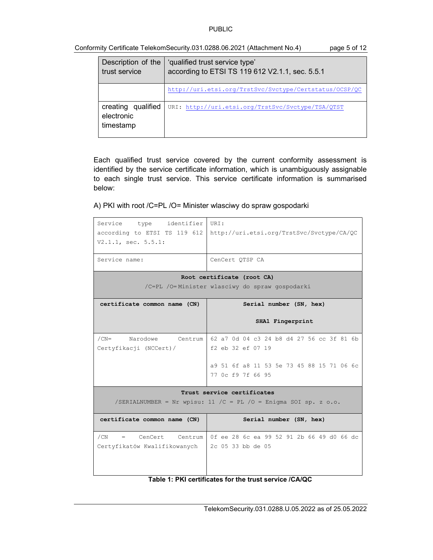| Conformity Certificate TelekomSecurity.031.0288.06.2021 (Attachment No.4) |  |  |  |  | page 5 of 12 |
|---------------------------------------------------------------------------|--|--|--|--|--------------|
|---------------------------------------------------------------------------|--|--|--|--|--------------|

| Description of the<br>trust service           | 'qualified trust service type'<br>according to ETSI TS 119 612 V2.1.1, sec. 5.5.1 |
|-----------------------------------------------|-----------------------------------------------------------------------------------|
|                                               | http://uri.etsi.org/TrstSvc/Svctype/Certstatus/OCSP/QC                            |
| creating qualified<br>electronic<br>timestamp | URI: http://uri.etsi.org/TrstSvc/Svctype/TSA/QTST                                 |

Each qualified trust service covered by the current conformity assessment is identified by the service certificate information, which is unambiguously assignable to each single trust service. This service certificate information is summarised below:

A) PKI with root /C=PL /O= Minister wlasciwy do spraw gospodarki

| Service type identifier<br>according to ETSI TS 119 612<br>V2.1.1, sec. 5.5.1:<br>Service name: | URI:<br>http://uri.etsi.org/TrstSvc/Svctype/CA/QC<br>CenCert QTSP CA<br>Root certificate (root CA)                       |  |
|-------------------------------------------------------------------------------------------------|--------------------------------------------------------------------------------------------------------------------------|--|
|                                                                                                 | /C=PL /O=Minister wlasciwy do spraw gospodarki                                                                           |  |
| certificate common name (CN)                                                                    | Serial number (SN, hex)                                                                                                  |  |
|                                                                                                 | SHA1 Fingerprint                                                                                                         |  |
| Narodowe Centrum<br>$/CN=$<br>Certyfikacji (NCCert)/                                            | 62 a7 0d 04 c3 24 b8 d4 27 56 cc 3f 81 6b<br>f2 eb 32 ef 07 19<br>a9 51 6f a8 11 53 5e 73 45 88 15 71 06 6c              |  |
|                                                                                                 | 77 Oc f9 7f 66 95                                                                                                        |  |
| Trust service certificates                                                                      |                                                                                                                          |  |
| /SERIALNUMBER = Nr wpisu: 11 /C = PL /O = Enigma SOI sp. z $0.0$ .                              |                                                                                                                          |  |
| certificate common name (CN)                                                                    | Serial number (SN, hex)                                                                                                  |  |
| /CN<br>= CenCert Centrum<br>Certyfikatów Kwalifikowanych                                        | 0f ee 28 6c ea 99 52 91 2b 66 49 d0 66 dc<br>2c 05 33 bb de 05<br>Table 1: PKI certificates for the trust service /CA/QC |  |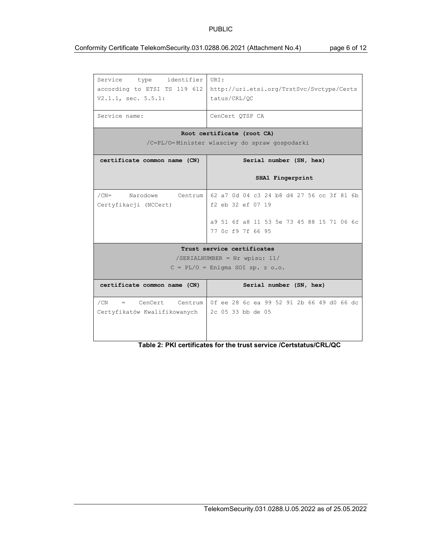#### Conformity Certificate TelekomSecurity.031.0288.06.2021 (Attachment No.4) page 6 of 12

| Service type identifier<br>according to ETSI TS 119 612<br>$V2.1.1$ , sec. $5.5.1$ :<br>Service name: | URI:<br>http://uri.etsi.org/TrstSvc/Svctype/Certs<br>tatus/CRL/OC<br>CenCert OTSP CA |
|-------------------------------------------------------------------------------------------------------|--------------------------------------------------------------------------------------|
|                                                                                                       |                                                                                      |
|                                                                                                       | Root certificate (root CA)                                                           |
|                                                                                                       | /C=PL/O=Minister wlasciwy do spraw gospodarki                                        |
| certificate common name (CN)                                                                          | Serial number (SN, hex)                                                              |
|                                                                                                       | SHA1 Fingerprint                                                                     |
| $/CN=$                                                                                                | Narodowe Centrum 62 a7 0d 04 c3 24 b8 d4 27 56 cc 3f 81 6b                           |
| Certyfikacji (NCCert)                                                                                 | f2 eb 32 ef 07 19                                                                    |
|                                                                                                       | a9 51 6f a8 11 53 5e 73 45 88 15 71 06 6c<br>77 Oc f9 7f 66 95                       |
|                                                                                                       | Trust service certificates                                                           |
|                                                                                                       | /SERIALNUMBER = Nr wpisu: $11/$                                                      |
|                                                                                                       | $C = PL/O = Enigma SOI sp. z 0.0.$                                                   |
| certificate common name (CN)                                                                          | Serial number (SN, hex)                                                              |
| /CN<br>= CenCert Centrum                                                                              | 0f ee 28 6c ea 99 52 91 2b 66 49 d0 66 dc                                            |
| Certyfikatów Kwalifikowanych                                                                          | 2c 05 33 bb de 05                                                                    |

#### Table 2: PKI certificates for the trust service /Certstatus/CRL/QC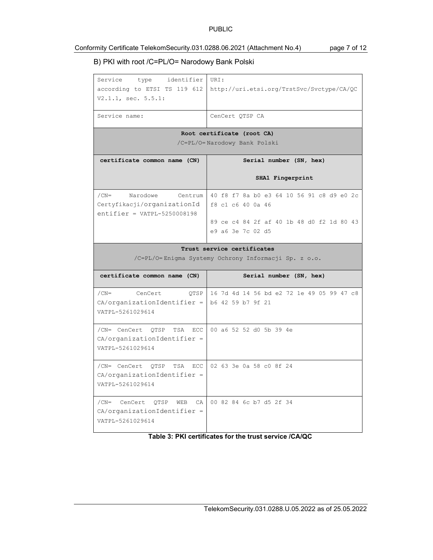#### Conformity Certificate TelekomSecurity.031.0288.06.2021 (Attachment No.4) page 7 of 12

### B) PKI with root /C=PL/O= Narodowy Bank Polski

| Service type identifier<br>according to ETSI TS 119 612<br>$V2.1.1$ , sec. $5.5.1$ :               | URI:<br>http://uri.etsi.org/TrstSvc/Svctype/CA/QC              |  |  |
|----------------------------------------------------------------------------------------------------|----------------------------------------------------------------|--|--|
| Service name:                                                                                      | CenCert QTSP CA                                                |  |  |
| Root certificate (root CA)<br>/C=PL/O=Narodowy Bank Polski                                         |                                                                |  |  |
| certificate common name (CN)                                                                       | Serial number (SN, hex)                                        |  |  |
|                                                                                                    | SHA1 Fingerprint                                               |  |  |
| $/CN=$<br>Narodowe<br>Centrum<br>Certyfikacji/organizationId<br>$entifier = VATPL-5250008198$      | 40 f8 f7 8a b0 e3 64 10 56 91 c8 d9 e0 2c<br>f8 c1 c6 40 0a 46 |  |  |
|                                                                                                    | 89 ce c4 84 2f af 40 1b 48 d0 f2 1d 80 43<br>e9 a6 3e 7c 02 d5 |  |  |
| Trust service certificates<br>/C=PL/O=Enigma Systemy Ochrony Informacji Sp. z o.o.                 |                                                                |  |  |
| certificate common name (CN)                                                                       | Serial number (SN, hex)                                        |  |  |
|                                                                                                    |                                                                |  |  |
| $/CN=$<br>CenCert<br>QTSP<br>$CA/organizationIdentifier =   b6 42 59 b7 9f 21$<br>VATPL-5261029614 | 16 7d 4d 14 56 bd e2 72 1e 49 05 99 47 c8                      |  |  |
| /CN= CenCert QTSP TSA ECC<br>$CA/organizationIdentifier =$<br>VATPL-5261029614                     | 00 a6 52 52 d0 5b 39 4e                                        |  |  |
| /CN= CenCert QTSP<br>TSA ECC<br>$CA/organizationIdentifier =$<br>VATPL-5261029614                  | 02 63 3e 0a 58 c0 8f 24                                        |  |  |
| /CN= CenCert<br>OTSP<br>WEB<br>CA<br>$CA/organizationIdentifier =$<br>VATPL-5261029614             | 00 82 84 6c b7 d5 2f 34                                        |  |  |

#### Table 3: PKI certificates for the trust service /CA/QC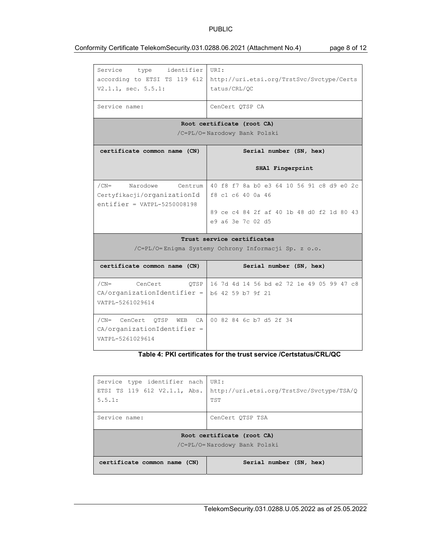#### Conformity Certificate TelekomSecurity.031.0288.06.2021 (Attachment No.4) page 8 of 12

| identifier<br>Service type<br>according to ETSI TS 119 612<br>$V2.1.1$ , sec. $5.5.1$ :    | URI:<br>http://uri.etsi.org/TrstSvc/Svctype/Certs<br>tatus/CRL/QC                                                                |  |  |
|--------------------------------------------------------------------------------------------|----------------------------------------------------------------------------------------------------------------------------------|--|--|
| Service name:                                                                              | CenCert QTSP CA                                                                                                                  |  |  |
|                                                                                            | Root certificate (root CA)                                                                                                       |  |  |
|                                                                                            | /C=PL/O=Narodowy Bank Polski                                                                                                     |  |  |
| certificate common name (CN)                                                               | Serial number (SN, hex)                                                                                                          |  |  |
|                                                                                            | SHA1 Fingerprint                                                                                                                 |  |  |
| $/CN=$<br>Narodowe Centrum<br>Certyfikacji/organizationId<br>$entifier = VATPL-5250008198$ | 40 f8 f7 8a b0 e3 64 10 56 91 c8 d9 e0 2c<br>f8 c1 c6 40 0a 46<br>89 ce c4 84 2f af 40 1b 48 d0 f2 1d 80 43<br>e9 a6 3e 7c 02 d5 |  |  |
| Trust service certificates<br>/C=PL/O=Enigma Systemy Ochrony Informacji Sp. z o.o.         |                                                                                                                                  |  |  |
| certificate common name (CN)                                                               | Serial number (SN, hex)                                                                                                          |  |  |
|                                                                                            |                                                                                                                                  |  |  |
| $/CN=$<br>CenCert<br>OTSP<br>$CA/organizationIdentifier =$<br>VATPL-5261029614             | 16 7d 4d 14 56 bd e2 72 1e 49 05 99 47 c8<br>b6 42 59 b7 9f 21                                                                   |  |  |
| /CN= CenCert OTSP<br>WEB<br>CA.<br>$CA/organizationIdentifier =$<br>VATPL-5261029614       | 00 82 84 6c b7 d5 2f 34                                                                                                          |  |  |

#### Table 4: PKI certificates for the trust service /Certstatus/CRL/QC

| Service type identifier nach<br>ETSI TS 119 612 V2.1.1, Abs.<br>5.5.1: | URI:<br>http://uri.etsi.org/TrstSvc/Svctype/TSA/Q<br><b>TST</b> |  |
|------------------------------------------------------------------------|-----------------------------------------------------------------|--|
| Service name:                                                          | CenCert OTSP TSA                                                |  |
| Root certificate (root CA)<br>/C=PL/O=Narodowy Bank Polski             |                                                                 |  |
| certificate common name (CN)                                           | Serial number (SN, hex)                                         |  |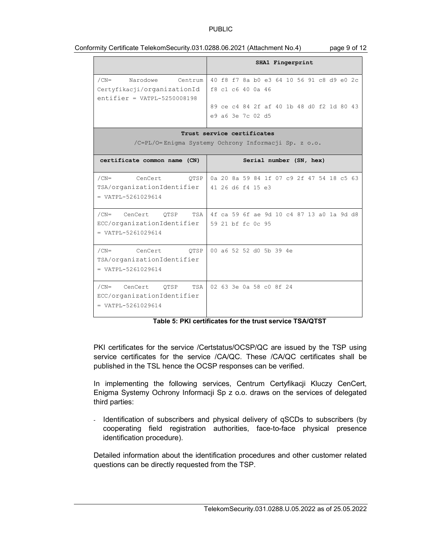|                                                                                     | SHA1 Fingerprint                                               |  |  |
|-------------------------------------------------------------------------------------|----------------------------------------------------------------|--|--|
| Narodowe Centrum<br>$/CN=$<br>Certyfikacji/organizationId                           | 40 f8 f7 8a b0 e3 64 10 56 91 c8 d9 e0 2c<br>f8 c1 c6 40 0a 46 |  |  |
| $entifier = VATPL-5250008198$                                                       | 89 ce c4 84 2f af 40 1b 48 d0 f2 1d 80 43                      |  |  |
|                                                                                     | e9 a6 3e 7c 02 d5                                              |  |  |
| Trust service certificates                                                          |                                                                |  |  |
|                                                                                     | /C=PL/O=Enigma Systemy Ochrony Informacji Sp. z o.o.           |  |  |
| certificate common name (CN)                                                        | Serial number (SN, hex)                                        |  |  |
| $/CN=$<br>CenCert<br>OTSP                                                           | 0a 20 8a 59 84 1f 07 c9 2f 47 54 18 c5 63                      |  |  |
| TSA/organizationIdentifier<br>$= VATPL-5261029614$                                  | 41 26 d6 f4 15 e3                                              |  |  |
| $/CN=$<br>CenCert OTSP                                                              | TSA   4f ca 59 6f ae 9d 10 c4 87 13 a0 1a 9d d8                |  |  |
| ECC/organizationIdentifier<br>$= VATPI - 5261029614$                                | 59 21 bf fc 0c 95                                              |  |  |
| /CN= CenCert<br>OTSP<br>TSA/organizationIdentifier<br>$= \text{VATPL}-5261029614$   | 00 a6 52 52 d0 5b 39 4e                                        |  |  |
| /CN= CenCert<br>OTSP<br>TSA<br>ECC/organizationIdentifier<br>$= VATPI - 5261029614$ | 02 63 3e 0a 58 c0 8f 24                                        |  |  |

#### Conformity Certificate TelekomSecurity.031.0288.06.2021 (Attachment No.4) page 9 of 12

Table 5: PKI certificates for the trust service TSA/QTST

PKI certificates for the service /Certstatus/OCSP/QC are issued by the TSP using service certificates for the service /CA/QC. These /CA/QC certificates shall be published in the TSL hence the OCSP responses can be verified.

In implementing the following services, Centrum Certyfikacji Kluczy CenCert, Enigma Systemy Ochrony Informacji Sp z o.o. draws on the services of delegated third parties:

- Identification of subscribers and physical delivery of qSCDs to subscribers (by cooperating field registration authorities, face-to-face physical presence identification procedure).

Detailed information about the identification procedures and other customer related questions can be directly requested from the TSP.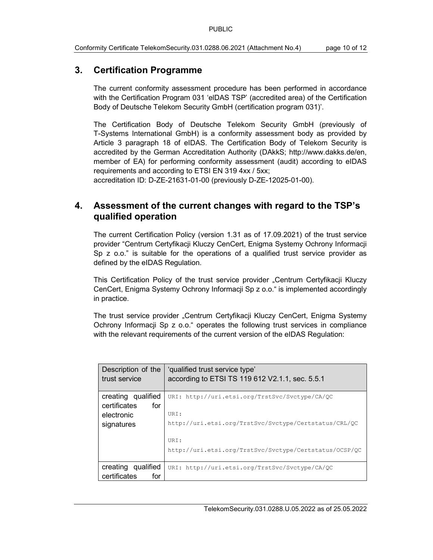# 3. Certification Programme

The current conformity assessment procedure has been performed in accordance with the Certification Program 031 'elDAS TSP' (accredited area) of the Certification Body of Deutsche Telekom Security GmbH (certification program 031)'.

The Certification Body of Deutsche Telekom Security GmbH (previously of T-Systems International GmbH) is a conformity assessment body as provided by Article 3 paragraph 18 of eIDAS. The Certification Body of Telekom Security is accredited by the German Accreditation Authority (DAkkS; http://www.dakks.de/en, member of EA) for performing conformity assessment (audit) according to eIDAS requirements and according to ETSI EN 319 4xx / 5xx;

accreditation ID: D-ZE-21631-01-00 (previously D-ZE-12025-01-00).

# 4. Assessment of the current changes with regard to the TSP's qualified operation

The current Certification Policy (version 1.31 as of 17.09.2021) of the trust service provider "Centrum Certyfikacji Kluczy CenCert, Enigma Systemy Ochrony Informacji Sp z o.o." is suitable for the operations of a qualified trust service provider as defined by the eIDAS Regulation.

This Certification Policy of the trust service provider "Centrum Certyfikacji Kluczy CenCert, Enigma Systemy Ochrony Informacji Sp z o.o." is implemented accordingly in practice.

The trust service provider "Centrum Certyfikacji Kluczy CenCert, Enigma Systemy Ochrony Informacji Sp z o.o." operates the following trust services in compliance with the relevant requirements of the current version of the eIDAS Regulation:

| Description of the<br>trust service                     | 'qualified trust service type'<br>according to ETSI TS 119 612 V2.1.1, sec. 5.5.1 |
|---------------------------------------------------------|-----------------------------------------------------------------------------------|
| creating qualified<br>certificates<br>for<br>electronic | URI: http://uri.etsi.org/TrstSvc/Svctype/CA/QC<br>URI:                            |
| signatures                                              | http://uri.etsi.org/TrstSvc/Svctype/Certstatus/CRL/QC                             |
|                                                         | URI:<br>http://uri.etsi.org/TrstSvc/Svctype/Certstatus/OCSP/QC                    |
| creating qualified<br>certificates<br>for               | URI: http://uri.etsi.org/TrstSvc/Svctype/CA/QC                                    |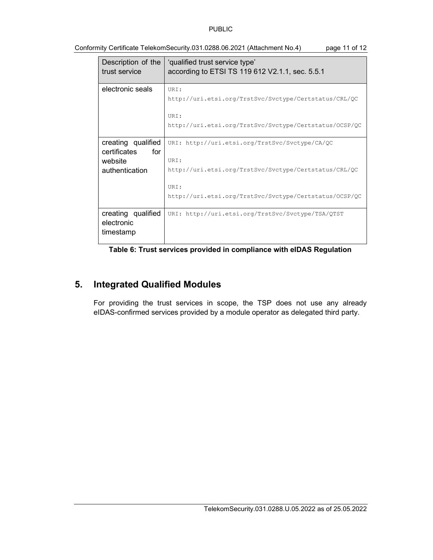| Description of the<br>trust service | 'qualified trust service type'<br>according to ETSI TS 119 612 V2.1.1, sec. 5.5.1 |
|-------------------------------------|-----------------------------------------------------------------------------------|
| electronic seals                    | URI:                                                                              |
|                                     | http://uri.etsi.org/TrstSvc/Svctype/Certstatus/CRL/QC                             |
|                                     | URI:                                                                              |
|                                     | http://uri.etsi.org/TrstSvc/Svctype/Certstatus/OCSP/QC                            |
| creating qualified                  | URI: http://uri.etsi.org/TrstSvc/Svctype/CA/QC                                    |
| for<br>certificates                 |                                                                                   |
| website                             | URI:                                                                              |
| authentication                      | http://uri.etsi.org/TrstSvc/Svctype/Certstatus/CRL/QC                             |
|                                     | URI:                                                                              |
|                                     | http://uri.etsi.org/TrstSvc/Svctype/Certstatus/OCSP/QC                            |
| creating qualified<br>electronic    | URI: http://uri.etsi.org/TrstSvc/Svctype/TSA/QTST                                 |
| timestamp                           |                                                                                   |

Conformity Certificate TelekomSecurity.031.0288.06.2021 (Attachment No.4) page 11 of 12

Table 6: Trust services provided in compliance with eIDAS Regulation

# 5. Integrated Qualified Modules

For providing the trust services in scope, the TSP does not use any already eIDAS-confirmed services provided by a module operator as delegated third party.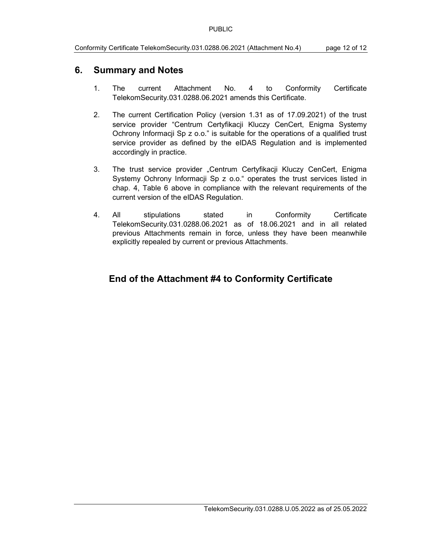#### 6. Summary and Notes

- 1. The current Attachment No. 4 to Conformity Certificate TelekomSecurity.031.0288.06.2021 amends this Certificate.
- 2. The current Certification Policy (version 1.31 as of 17.09.2021) of the trust service provider "Centrum Certyfikacji Kluczy CenCert, Enigma Systemy Ochrony Informacji Sp z o.o." is suitable for the operations of a qualified trust service provider as defined by the eIDAS Regulation and is implemented accordingly in practice.
- 3. The trust service provider "Centrum Certyfikacji Kluczy CenCert, Enigma Systemy Ochrony Informacji Sp z o.o." operates the trust services listed in chap. 4, Table 6 above in compliance with the relevant requirements of the current version of the eIDAS Regulation.
- 4. All stipulations stated in Conformity Certificate TelekomSecurity.031.0288.06.2021 as of 18.06.2021 and in all related previous Attachments remain in force, unless they have been meanwhile explicitly repealed by current or previous Attachments.

# End of the Attachment #4 to Conformity Certificate